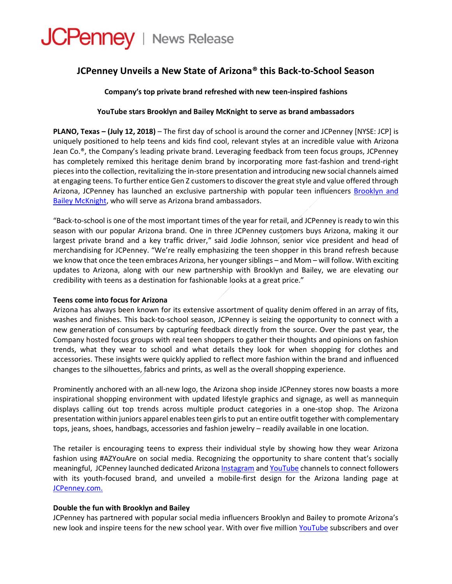# JCPenney | News Release

# **JCPenney Unveils a New State of Arizona® this Back-to-School Season**

## **Company's top private brand refreshed with new teen-inspired fashions**

### **YouTube stars Brooklyn and Bailey McKnight to serve as brand ambassadors**

**PLANO, Texas – (July 12, 2018)** – The first day of school is around the corner and JCPenney [NYSE: JCP] is uniquely positioned to help teens and kids find cool, relevant styles at an incredible value with Arizona Jean Co.®, the Company's leading private brand. Leveraging feedback from teen focus groups, JCPenney has completely remixed this heritage denim brand by incorporating more fast-fashion and trend-right pieces into the collection, revitalizing the in-store presentation and introducing new social channels aimed at engaging teens. To further entice Gen Z customers to discover the great style and value offered through Arizona, JCPenney has launched an exclusive partnership with popular teen influencers [Brooklyn and](https://www.brooklynandbailey.com/)  [Bailey McKnight,](https://www.brooklynandbailey.com/) who will serve as Arizona brand ambassadors.

"Back-to-school is one of the most important times of the year for retail, and JCPenney is ready to win this season with our popular Arizona brand. One in three JCPenney customers buys Arizona, making it our largest private brand and a key traffic driver," said Jodie Johnson, senior vice president and head of merchandising for JCPenney. "We're really emphasizing the teen shopper in this brand refresh because we know that once the teen embraces Arizona, her younger siblings – and Mom – will follow. With exciting updates to Arizona, along with our new partnership with Brooklyn and Bailey, we are elevating our credibility with teens as a destination for fashionable looks at a great price."

#### **Teens come into focus for Arizona**

Arizona has always been known for its extensive assortment of quality denim offered in an array of fits, washes and finishes. This back-to-school season, JCPenney is seizing the opportunity to connect with a new generation of consumers by capturing feedback directly from the source. Over the past year, the Company hosted focus groups with real teen shoppers to gather their thoughts and opinions on fashion trends, what they wear to school and what details they look for when shopping for clothes and accessories. These insights were quickly applied to reflect more fashion within the brand and influenced changes to the silhouettes, fabrics and prints, as well as the overall shopping experience.

Prominently anchored with an all-new logo, the Arizona shop inside JCPenney stores now boasts a more inspirational shopping environment with updated lifestyle graphics and signage, as well as mannequin displays calling out top trends across multiple product categories in a one-stop shop. The Arizona presentation within juniors apparel enables teen girls to put an entire outfit together with complementary tops, jeans, shoes, handbags, accessories and fashion jewelry – readily available in one location.

The retailer is encouraging teens to express their individual style by showing how they wear Arizona fashion using #AZYouAre on social media. Recognizing the opportunity to share content that's socially meaningful, JCPenney launched dedicated Arizona [Instagram](https://www.instagram.com/arizonajeanco/) and [YouTube](https://www.youtube.com/watch?v=IlpfQZveaMM) channels to connect followers with its youth-focused brand, and unveiled a mobile-first design for the Arizona landing page at [JCPenney.com.](http://www.jcpenney.com/m/azyouare)

#### **Double the fun with Brooklyn and Bailey**

JCPenney has partnered with popular social media influencers Brooklyn and Bailey to promote Arizona's new look and inspire teens for the new school year. With over five million [YouTube](https://www.youtube.com/user/BrooklynAndBailey) subscribers and over